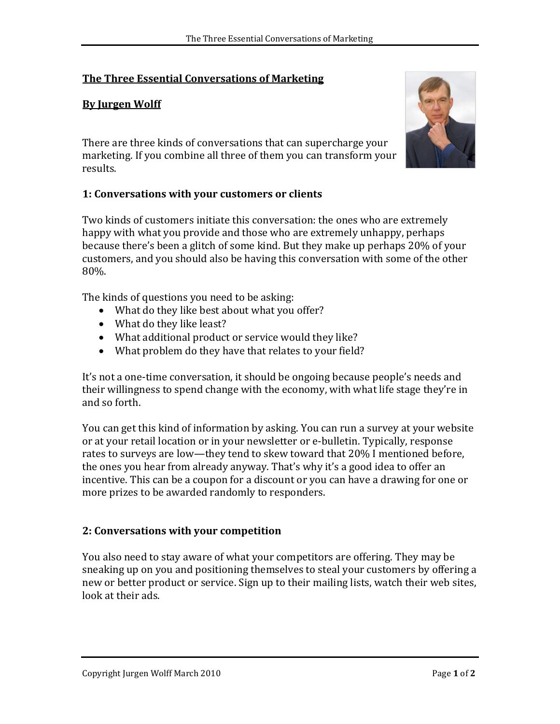## **The Three Essential Conversations of Marketing**

### **By Jurgen Wolff**

There are three kinds of conversations that can supercharge your marketing. If you combine all three of them you can transform your results.

#### **1: Conversations with your customers or clients**

Two kinds of customers initiate this conversation: the ones who are extremely happy with what you provide and those who are extremely unhappy, perhaps because there's been a glitch of some kind. But they make up perhaps 20% of your customers, and you should also be having this conversation with some of the other 80%.

The kinds of questions you need to be asking:

- What do they like best about what you offer?
- What do they like least?
- What additional product or service would they like?
- What problem do they have that relates to your field?

It's not a one-time conversation, it should be ongoing because people's needs and their willingness to spend change with the economy, with what life stage they're in and so forth.

You can get this kind of information by asking. You can run a survey at your website or at your retail location or in your newsletter or e-bulletin. Typically, response rates to surveys are low—they tend to skew toward that 20% I mentioned before, the ones you hear from already anyway. That's why it's a good idea to offer an incentive. This can be a coupon for a discount or you can have a drawing for one or more prizes to be awarded randomly to responders.

#### **2: Conversations with your competition**

You also need to stay aware of what your competitors are offering. They may be sneaking up on you and positioning themselves to steal your customers by offering a new or better product or service. Sign up to their mailing lists, watch their web sites, look at their ads.